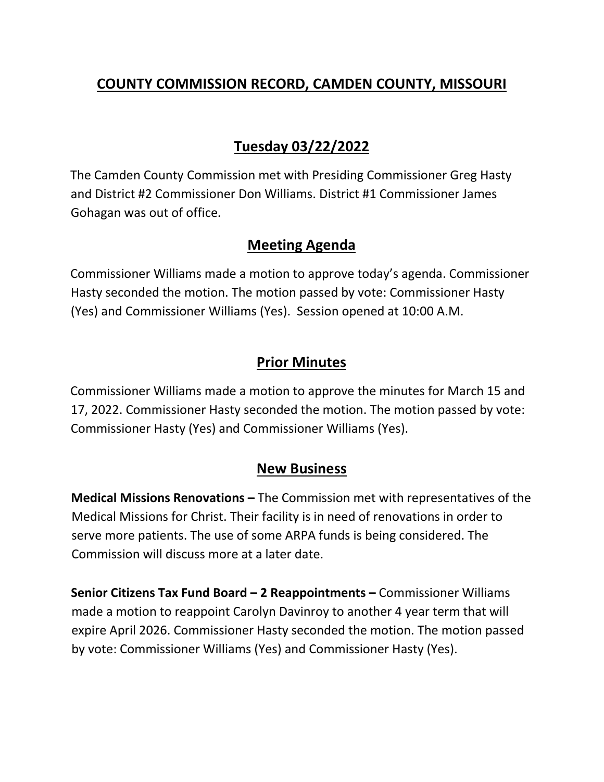## **COUNTY COMMISSION RECORD, CAMDEN COUNTY, MISSOURI**

# **Tuesday 03/22/2022**

The Camden County Commission met with Presiding Commissioner Greg Hasty and District #2 Commissioner Don Williams. District #1 Commissioner James Gohagan was out of office.

### **Meeting Agenda**

Commissioner Williams made a motion to approve today's agenda. Commissioner Hasty seconded the motion. The motion passed by vote: Commissioner Hasty (Yes) and Commissioner Williams (Yes). Session opened at 10:00 A.M.

## **Prior Minutes**

Commissioner Williams made a motion to approve the minutes for March 15 and 17, 2022. Commissioner Hasty seconded the motion. The motion passed by vote: Commissioner Hasty (Yes) and Commissioner Williams (Yes).

### **New Business**

**Medical Missions Renovations –** The Commission met with representatives of the Medical Missions for Christ. Their facility is in need of renovations in order to serve more patients. The use of some ARPA funds is being considered. The Commission will discuss more at a later date.

**Senior Citizens Tax Fund Board – 2 Reappointments –** Commissioner Williams made a motion to reappoint Carolyn Davinroy to another 4 year term that will expire April 2026. Commissioner Hasty seconded the motion. The motion passed by vote: Commissioner Williams (Yes) and Commissioner Hasty (Yes).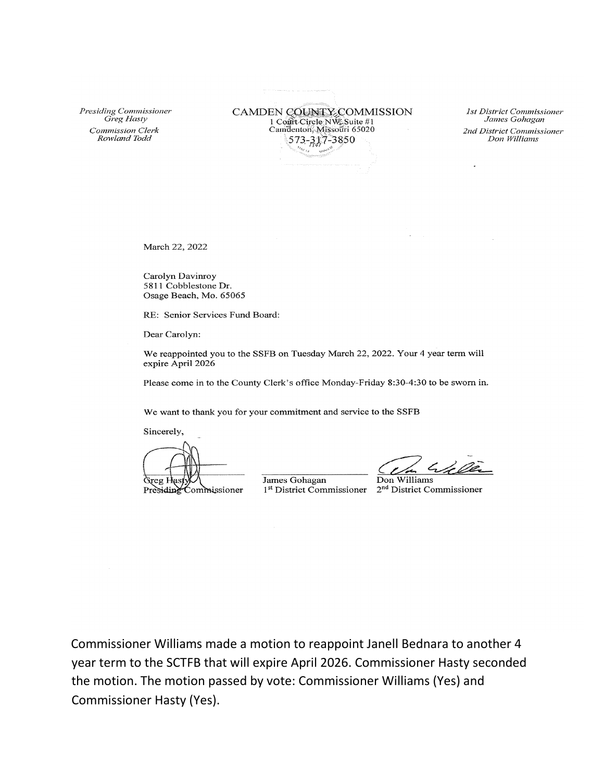Presiding Commissioner Greg Hasty Commission Clerk Rowland Todd

CAMDEN COUNTY COMMISSION 1 Cont Circle NW Suite #1<br>Camdenton, Missouri 65020 573-317-3850

1st District Commissioner James Gohagan 2nd District Commissioner Don Williams

March 22, 2022

Carolyn Davinroy 5811 Cobblestone Dr. Osage Beach, Mo. 65065

RE: Senior Services Fund Board:

Dear Carolyn:

We reappointed you to the SSFB on Tuesday March 22, 2022. Your 4 year term will expire April 2026

Please come in to the County Clerk's office Monday-Friday 8:30-4:30 to be sworn in.

We want to thank you for your commitment and service to the SSFB

Sincerely,

Greg Hast

Presiding Commissioner

James Gohagan

h de Ver

Don Williams 1<sup>st</sup> District Commissioner 2<sup>nd</sup> District Commissioner

Commissioner Williams made a motion to reappoint Janell Bednara to another 4 year term to the SCTFB that will expire April 2026. Commissioner Hasty seconded the motion. The motion passed by vote: Commissioner Williams (Yes) and **Commissioner Hasty (Yes).**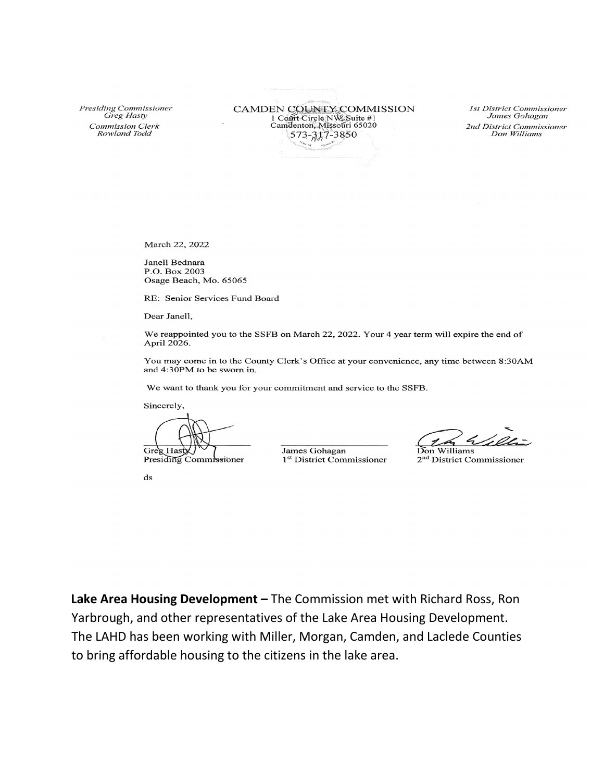Presiding Commissioner Greg Hasty Commission Clerk Rowland Todd

CAMDEN COUNTY COMMISSION 1 Cont Circle NW Suite #1 Camdenton, Missouri 65020 573-317-3850

**1st District Commissioner** James Gohagan 2nd District Commissioner Don Williams

March 22, 2022

Janell Bednara P.O. Box 2003 Osage Beach, Mo. 65065

RE: Senior Services Fund Board

Dear Janell,

We reappointed you to the SSFB on March 22, 2022. Your 4 year term will expire the end of April 2026.

You may come in to the County Clerk's Office at your convenience, any time between 8:30AM and 4:30PM to be sworn in.

We want to thank you for your commitment and service to the SSFB.

Sincerely,

Greg Hast Presiding Commissioner

James Gohagan 1<sup>st</sup> District Commissioner

Don Williams

2<sup>nd</sup> District Commissioner

 $\mathrm{d}\mathbf{s}$ 

Lake Area Housing Development - The Commission met with Richard Ross, Ron Yarbrough, and other representatives of the Lake Area Housing Development. The LAHD has been working with Miller, Morgan, Camden, and Laclede Counties to bring affordable housing to the citizens in the lake area.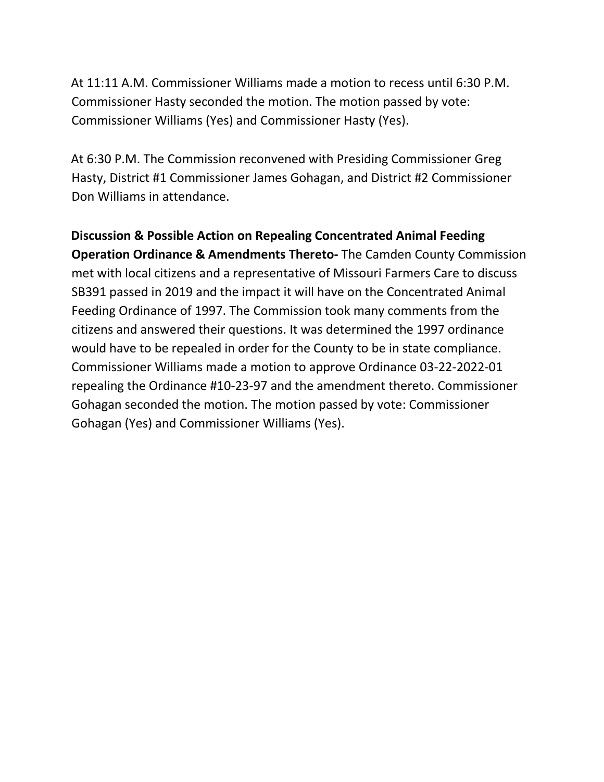At 11:11 A.M. Commissioner Williams made a motion to recess until 6:30 P.M. Commissioner Hasty seconded the motion. The motion passed by vote: Commissioner Williams (Yes) and Commissioner Hasty (Yes).

At 6:30 P.M. The Commission reconvened with Presiding Commissioner Greg Hasty, District #1 Commissioner James Gohagan, and District #2 Commissioner Don Williams in attendance.

**Discussion & Possible Action on Repealing Concentrated Animal Feeding Operation Ordinance & Amendments Thereto-** The Camden County Commission met with local citizens and a representative of Missouri Farmers Care to discuss SB391 passed in 2019 and the impact it will have on the Concentrated Animal Feeding Ordinance of 1997. The Commission took many comments from the citizens and answered their questions. It was determined the 1997 ordinance would have to be repealed in order for the County to be in state compliance. Commissioner Williams made a motion to approve Ordinance 03-22-2022-01 repealing the Ordinance #10-23-97 and the amendment thereto. Commissioner Gohagan seconded the motion. The motion passed by vote: Commissioner Gohagan (Yes) and Commissioner Williams (Yes).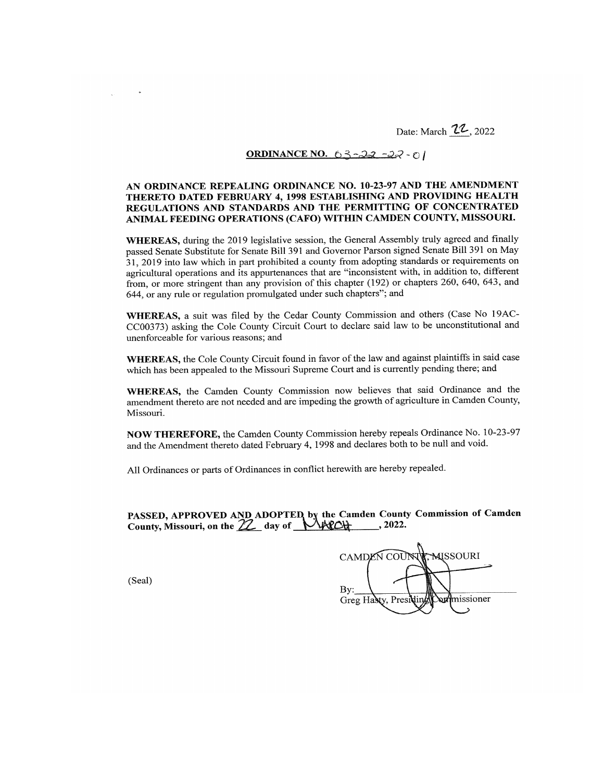Date: March 22, 2022

#### ORDINANCE NO. 63-22-22-01

#### AN ORDINANCE REPEALING ORDINANCE NO. 10-23-97 AND THE AMENDMENT THERETO DATED FEBRUARY 4, 1998 ESTABLISHING AND PROVIDING HEALTH REGULATIONS AND STANDARDS AND THE PERMITTING OF CONCENTRATED ANIMAL FEEDING OPERATIONS (CAFO) WITHIN CAMDEN COUNTY, MISSOURI.

WHEREAS, during the 2019 legislative session, the General Assembly truly agreed and finally passed Senate Substitute for Senate Bill 391 and Governor Parson signed Senate Bill 391 on May 31, 2019 into law which in part prohibited a county from adopting standards or requirements on agricultural operations and its appurtenances that are "inconsistent with, in addition to, different from, or more stringent than any provision of this chapter (192) or chapters 260, 640, 643, and 644, or any rule or regulation promulgated under such chapters"; and

WHEREAS, a suit was filed by the Cedar County Commission and others (Case No 19AC-CC00373) asking the Cole County Circuit Court to declare said law to be unconstitutional and unenforceable for various reasons; and

WHEREAS, the Cole County Circuit found in favor of the law and against plaintiffs in said case which has been appealed to the Missouri Supreme Court and is currently pending there; and

WHEREAS, the Camden County Commission now believes that said Ordinance and the amendment thereto are not needed and are impeding the growth of agriculture in Camden County, Missouri.

NOW THEREFORE, the Camden County Commission hereby repeals Ordinance No. 10-23-97 and the Amendment thereto dated February 4, 1998 and declares both to be null and void.

All Ordinances or parts of Ordinances in conflict herewith are hereby repealed.

PASSED, APPROVED AND ADOPTED by the Camden County Commission of Camden<br>County, Missouri, on the 22 day of MACCH ..., 2022.

CAMDEN COUNTY MISSOURI By: missioner Greg Hasty, Presi

(Seal)